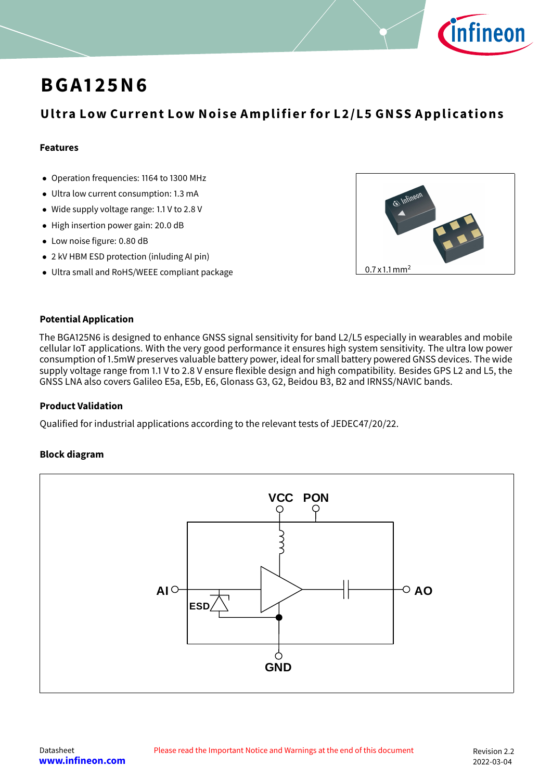

## **BGA 1 25N6**

## **Ultra Low Current Low Noise Amplifier for L2/L5 GNSS Applications**

#### **Features**

- Operation frequencies: 1164 to 1300 MHz
- Ultra low current consumption: 1.3 mA
- Wide supply voltage range: 1.1 V to 2.8 V
- High insertion power gain: 20.0 dB
- Low noise figure: 0.80 dB
- 2 kV HBM ESD protection (inluding AI pin)
- Ultra small and RoHS/WEEE compliant package  $\sqrt{0.7 \times 1.1 \text{ mm}^2}$



#### **Potential Application**

The BGA125N6 is designed to enhance GNSS signal sensitivity for band L2/L5 especially in wearables and mobile cellular IoT applications. With the very good performance it ensures high system sensitivity. The ultra low power consumption of 1.5mW preserves valuable battery power, ideal for small battery powered GNSS devices. The wide supply voltage range from 1.1 V to 2.8 V ensure flexible design and high compatibility. Besides GPS L2 and L5, the GNSS LNA also covers Galileo E5a, E5b, E6, Glonass G3, G2, Beidou B3, B2 and IRNSS/NAVIC bands.

#### **Product Validation**

Qualified for industrial applications according to the relevant tests of JEDEC47/20/22.

#### **Block diagram**

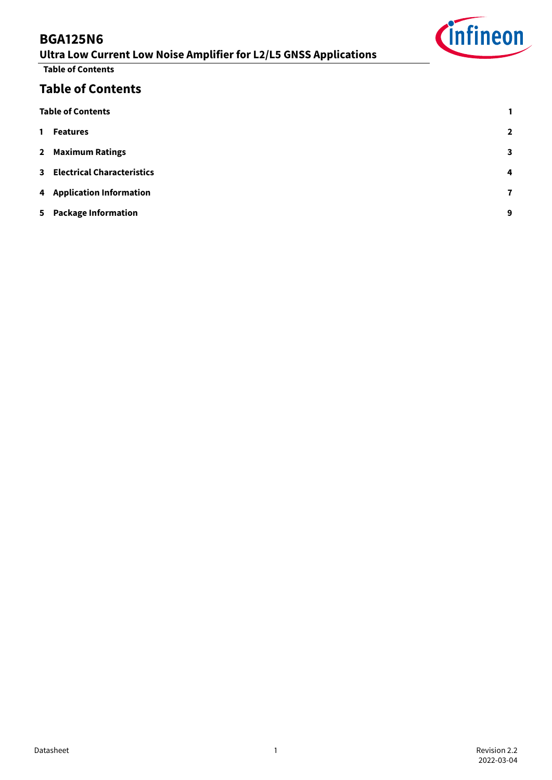## **Ultra Low Current Low Noise Amplifier for L2/L5 GNSS Applications**

**Table of Contents**

## **Table of Contents**

<span id="page-1-0"></span>

| <b>Table of Contents</b>     |   |
|------------------------------|---|
| 1 Features                   | 2 |
| 2 Maximum Ratings            | 3 |
| 3 Electrical Characteristics | 4 |
| 4 Application Information    | 7 |
| 5 Package Information        | 9 |
|                              |   |

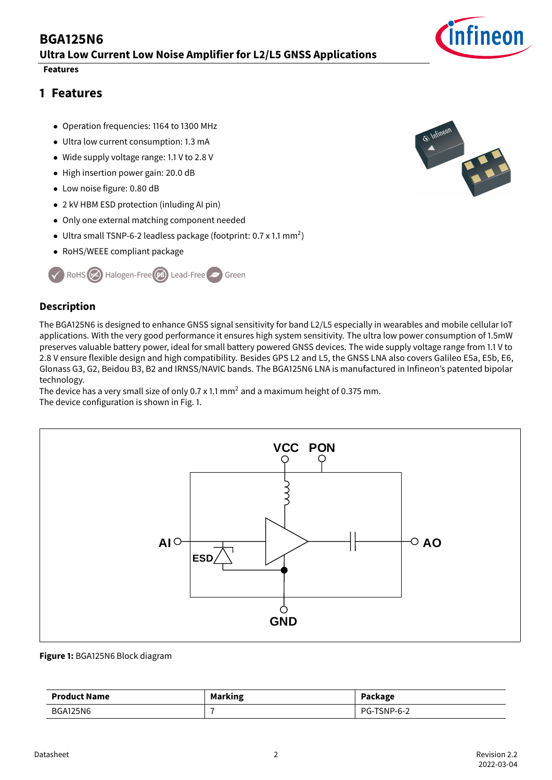## **BGA125N6 Ultra Low Current Low Noise Amplifier for L2/L5 GNSS Applications**

#### **Features**

## <span id="page-2-0"></span>**1 Features**

- Operation frequencies: 1164 to 1300 MHz
- Ultra low current consumption: 1.3 mA
- Wide supply voltage range: 1.1 V to 2.8 V
- High insertion power gain: 20.0 dB
- Low noise figure: 0.80 dB
- 2 kV HBM ESD protection (inluding AI pin)
- Only one external matching component needed
- $\bullet$  Ultra small TSNP-6-2 leadless package (footprint: 0.7 x 1.1 mm<sup>2</sup>)
- RoHS/WEEE compliant package



#### **Description**

The BGA125N6 is designed to enhance GNSS signal sensitivity for band L2/L5 especially in wearables and mobile cellular IoT applications. With the very good performance it ensures high system sensitivity. The ultra low power consumption of 1.5mW preserves valuable battery power, ideal for small battery powered GNSS devices. The wide supply voltage range from 1.1 V to 2.8 V ensure flexible design and high compatibility. Besides GPS L2 and L5, the GNSS LNA also covers Galileo E5a, E5b, E6, Glonass G3, G2, Beidou B3, B2 and IRNSS/NAVIC bands. The BGA125N6 LNA is manufactured in Infineon's patented bipolar technology.

The device has a very small size of only 0.7 x 1.1 mm<sup>2</sup> and a maximum height of 0.375 mm. The device configuration is shown in Fig. [1.](#page-2-1)

<span id="page-2-1"></span>

#### **Figure 1:** BGA125N6 Block diagram

| <b>Product Name</b> | <b>Marking</b> | Package     |
|---------------------|----------------|-------------|
| <b>BGA125N6</b>     |                | PG-TSNP-6-2 |



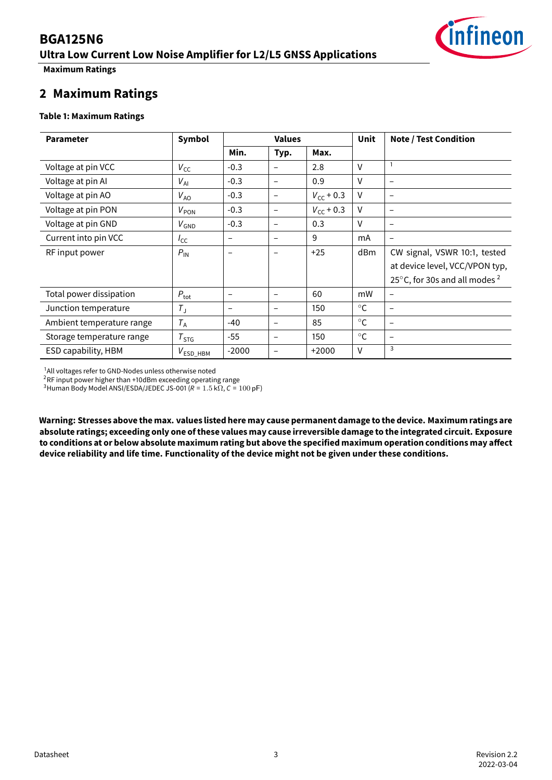## **BGA125N6 Ultra Low Current Low Noise Amplifier for L2/L5 GNSS Applications**



**Maximum Ratings**

### <span id="page-3-0"></span>**2 Maximum Ratings**

#### **Table 1: Maximum Ratings**

| <b>Parameter</b>          | <b>Values</b><br>Symbol |                 |                          |                    | Unit         | <b>Note / Test Condition</b>               |
|---------------------------|-------------------------|-----------------|--------------------------|--------------------|--------------|--------------------------------------------|
|                           |                         | Min.            | Typ.                     | Max.               |              |                                            |
| Voltage at pin VCC        | $V_{\text{CC}}$         | $-0.3$          |                          | 2.8                | $\vee$       |                                            |
| Voltage at pin Al         | $V_{\rm Al}$            | $-0.3$          | -                        | 0.9                | $\vee$       | $\overline{\phantom{0}}$                   |
| Voltage at pin AO         | $V_{AO}$                | $-0.3$          | -                        | $V_{\rm CC}$ + 0.3 | $\vee$       | $\qquad \qquad -$                          |
| Voltage at pin PON        | $V_{PON}$               | $-0.3$          | -                        | $V_{cc}$ + 0.3     | $\vee$       | $\qquad \qquad -$                          |
| Voltage at pin GND        | $V_{GND}$               | $-0.3$          | -                        | 0.3                | $\vee$       | $\overline{\phantom{0}}$                   |
| Current into pin VCC      | $I_{\text{CC}}$         | -               | -                        | 9                  | mA           | -                                          |
| RF input power            | $P_{\text{IN}}$         |                 |                          | $+25$              | dBm          | CW signal, VSWR 10:1, tested               |
|                           |                         |                 |                          |                    |              | at device level, VCC/VPON typ,             |
|                           |                         |                 |                          |                    |              | 25 $\degree$ C, for 30s and all modes $^2$ |
| Total power dissipation   | $P_{\text{tot}}$        | $\qquad \qquad$ | $\overline{\phantom{0}}$ | 60                 | mW           | $\overline{\phantom{0}}$                   |
| Junction temperature      | $T_{\rm J}$             | -               | -                        | 150                | $^{\circ}$ C | $\overline{\phantom{a}}$                   |
| Ambient temperature range | $T_A$                   | $-40$           | $\overline{\phantom{0}}$ | 85                 | $^{\circ}$ C | $\qquad \qquad$                            |
| Storage temperature range | $T_{STG}$               | $-55$           | -                        | 150                | $^{\circ}C$  | -                                          |
| ESD capability, HBM       | $V_{ESD\_HBM}$          | $-2000$         | —                        | $+2000$            | $\vee$       | 3                                          |

<span id="page-3-1"></span><sup>1</sup>All voltages refer to GND-Nodes unless otherwise noted

<span id="page-3-2"></span> $2$ RF input power higher than +10dBm exceeding operating range

<span id="page-3-3"></span> $3$ Human Body Model ANSI/ESDA/JEDEC JS-001 (R = 1.5 k $\Omega$ , C = 100 pF)

**Warning: Stresses above the max. values listed here may cause permanent damage to the device. Maximum ratings are absolute ratings; exceeding only one of these values may cause irreversible damage to the integrated circuit. Exposure** to conditions at or below absolute maximum rating but above the specified maximum operation conditions may affect **device reliability and life time. Functionality of the device might not be given under these conditions.**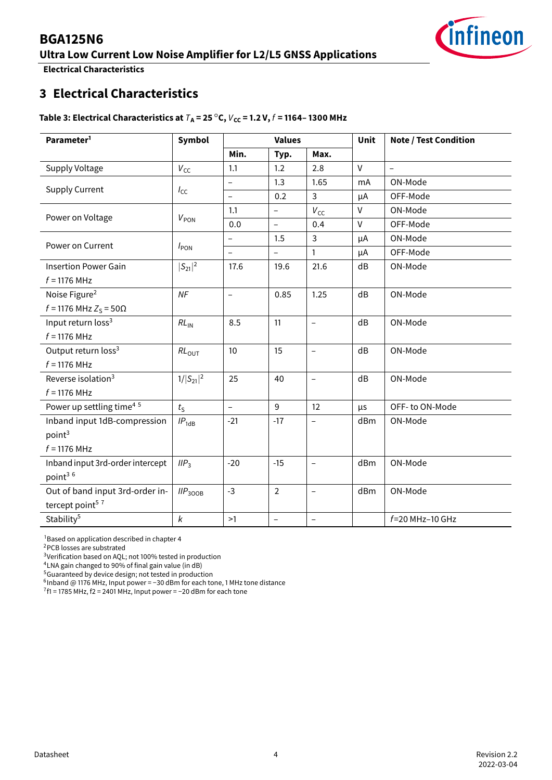# infineon

## **BGA125N6**

**Ultra Low Current Low Noise Amplifier for L2/L5 GNSS Applications**

**Electrical Characteristics**

## <span id="page-4-0"></span>**3 Electrical Characteristics**

#### **Table 3: Electrical Characteristics at**  $T_A = 25\degree C$ ,  $V_{CC} = 1.2$  V,  $f = 1164 - 1300$  MHz

| Parameter <sup>1</sup>               | Symbol              |                          | <b>Values</b>            |                          | <b>Unit</b> | <b>Note / Test Condition</b> |
|--------------------------------------|---------------------|--------------------------|--------------------------|--------------------------|-------------|------------------------------|
|                                      |                     | Min.                     | Typ.                     | Max.                     |             |                              |
| Supply Voltage                       | $V_{\text{CC}}$     | 1.1                      | 1.2                      | 2.8                      | $\vee$      | $\overline{a}$               |
|                                      |                     | $\overline{\phantom{0}}$ | 1.3                      | 1.65                     | mA          | ON-Mode                      |
| <b>Supply Current</b>                | $I_{\text{CC}}$     | $\qquad \qquad -$        | 0.2                      | 3                        | μA          | OFF-Mode                     |
|                                      |                     | 1.1                      | $\overline{\phantom{0}}$ | $V_{\text{CC}}$          | $\vee$      | ON-Mode                      |
| Power on Voltage                     | $V_{PON}$           | 0.0                      | $\overline{\phantom{0}}$ | 0.4                      | $\vee$      | OFF-Mode                     |
|                                      |                     | $\qquad \qquad -$        | 1.5                      | 3                        | μA          | ON-Mode                      |
| Power on Current                     | $I_{\text{PON}}$    | $\qquad \qquad -$        | $\overline{\phantom{0}}$ | 1                        | μA          | OFF-Mode                     |
| <b>Insertion Power Gain</b>          | $ S_{21} ^2$        | 17.6                     | 19.6                     | 21.6                     | dB          | ON-Mode                      |
| $f = 1176$ MHz                       |                     |                          |                          |                          |             |                              |
| Noise Figure <sup>2</sup>            | NF                  | $\overline{\phantom{0}}$ | 0.85                     | 1.25                     | dB          | ON-Mode                      |
| $f = 1176$ MHz $Z_S = 50Ω$           |                     |                          |                          |                          |             |                              |
| Input return loss <sup>3</sup>       | $RL_{IN}$           | 8.5                      | 11                       | $\overline{\phantom{a}}$ | dB          | ON-Mode                      |
| $f = 1176$ MHz                       |                     |                          |                          |                          |             |                              |
| Output return loss <sup>3</sup>      | RL <sub>OUT</sub>   | 10                       | 15                       | $\equiv$                 | dB          | ON-Mode                      |
| $f = 1176$ MHz                       |                     |                          |                          |                          |             |                              |
| Reverse isolation <sup>3</sup>       | $1/ S_{21} ^2$      | 25                       | 40                       | $\overline{\phantom{a}}$ | dB          | ON-Mode                      |
| $f = 1176$ MHz                       |                     |                          |                          |                          |             |                              |
| Power up settling time <sup>45</sup> | $t_{\rm S}$         | $\overline{\phantom{a}}$ | 9                        | 12                       | μs          | OFF-to ON-Mode               |
| Inband input 1dB-compression         | $IP_{1dB}$          | $-21$                    | $-17$                    | $\overline{\phantom{m}}$ | dBm         | ON-Mode                      |
| point <sup>3</sup>                   |                     |                          |                          |                          |             |                              |
| $f = 1176$ MHz                       |                     |                          |                          |                          |             |                              |
| Inband input 3rd-order intercept     | IIP <sub>3</sub>    | $-20$                    | $-15$                    | $\overline{\phantom{0}}$ | dBm         | ON-Mode                      |
| point3 6                             |                     |                          |                          |                          |             |                              |
| Out of band input 3rd-order in-      | IIP <sub>300B</sub> | $-3$                     | $\overline{2}$           | $\overline{\phantom{a}}$ | dBm         | ON-Mode                      |
| tercept point <sup>57</sup>          |                     |                          |                          |                          |             |                              |
| Stability <sup>5</sup>               | $\pmb{k}$           | >1                       | $\overline{\phantom{a}}$ | $\qquad \qquad -$        |             | $f = 20$ MHz-10 GHz          |

<span id="page-4-1"></span> $1$ Based on application described in chapter 4

<span id="page-4-2"></span><sup>2</sup>PCB losses are substrated

<span id="page-4-3"></span><sup>3</sup>Verification based on AQL; not 100% tested in production

<span id="page-4-4"></span><sup>4</sup>LNA gain changed to 90% of final gain value (in dB)

<span id="page-4-5"></span><sup>5</sup>Guaranteed by device design; not tested in production

<span id="page-4-6"></span>6 Inband @ 1176 MHz, Input power = −30 dBm for each tone, 1 MHz tone distance

<span id="page-4-7"></span> $7f1 = 1785$  MHz, f2 = 2401 MHz, Input power = -20 dBm for each tone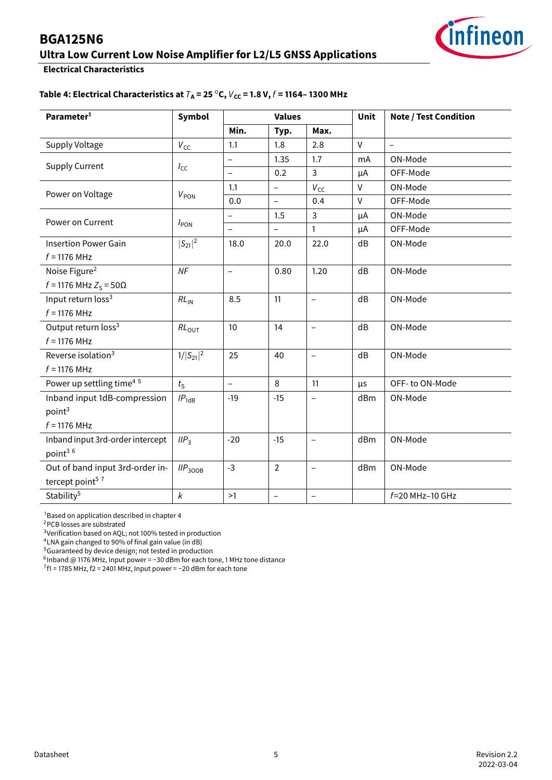## **Ultra Low Current Low Noise Amplifier for L2/L5 GNSS Applications**



**Electrical Characteristics**

#### **Table 4: Electrical Characteristics at**  $T_A$  = 25 °C,  $V_{CC}$  = 1.8 V,  $f$  = 1164–1300 MHz

| Parameter <sup>1</sup>               | Symbol              |                          | <b>Values</b>            |                          | Unit   | <b>Note / Test Condition</b> |  |
|--------------------------------------|---------------------|--------------------------|--------------------------|--------------------------|--------|------------------------------|--|
|                                      |                     | Min.                     | Typ.                     | Max.                     |        |                              |  |
| Supply Voltage                       | $V_{\text{CC}}$     | 1.1                      | 1.8                      | 2.8                      | $\vee$ | $\overline{a}$               |  |
|                                      |                     | $\overline{\phantom{0}}$ | 1.35                     | 1.7                      | mA     | ON-Mode                      |  |
| <b>Supply Current</b>                | $I_{\rm CC}$        | $\overline{\phantom{0}}$ | 0.2                      | 3                        | μA     | OFF-Mode                     |  |
|                                      |                     | 1.1                      | $\qquad \qquad -$        | $V_{\text{CC}}$          | $\vee$ | ON-Mode                      |  |
| Power on Voltage                     | $V_{PON}$           | 0.0                      | $\overline{\phantom{0}}$ | 0.4                      | $\vee$ | OFF-Mode                     |  |
|                                      |                     | $\qquad \qquad -$        | 1.5                      | 3                        | μA     | ON-Mode                      |  |
| Power on Current                     | $I_{PON}$           | $\overline{a}$           |                          | $\mathbf{1}$             | μA     | OFF-Mode                     |  |
| <b>Insertion Power Gain</b>          | $ S_{21} ^2$        | 18.0                     | 20.0                     | 22.0                     | dB     | ON-Mode                      |  |
| $f = 1176$ MHz                       |                     |                          |                          |                          |        |                              |  |
| Noise Figure <sup>2</sup>            | <b>NF</b>           | $\overline{\phantom{0}}$ | 0.80                     | 1.20                     | dB     | ON-Mode                      |  |
| $f = 1176$ MHz $Z_S = 50Ω$           |                     |                          |                          |                          |        |                              |  |
| Input return loss <sup>3</sup>       | $RL_{IN}$           | 8.5                      | 11                       | $\overline{\phantom{0}}$ | dB     | ON-Mode                      |  |
| $f = 1176$ MHz                       |                     |                          |                          |                          |        |                              |  |
| Output return loss <sup>3</sup>      | $RL_{OUT}$          | 10                       | 14                       | $\overline{\phantom{0}}$ | dB     | ON-Mode                      |  |
| $f = 1176$ MHz                       |                     |                          |                          |                          |        |                              |  |
| Reverse isolation <sup>3</sup>       | $1/ S_{21} ^2$      | 25                       | 40                       | $\qquad \qquad -$        | dB     | ON-Mode                      |  |
| $f = 1176$ MHz                       |                     |                          |                          |                          |        |                              |  |
| Power up settling time <sup>45</sup> | $t_{\rm S}$         | $\overline{\phantom{0}}$ | 8                        | 11                       | μs     | OFF-to ON-Mode               |  |
| Inband input 1dB-compression         | $IP_{1dB}$          | $-19$                    | $-15$                    | $\qquad \qquad -$        | dBm    | ON-Mode                      |  |
| point <sup>3</sup>                   |                     |                          |                          |                          |        |                              |  |
| $f = 1176$ MHz                       |                     |                          |                          |                          |        |                              |  |
| Inband input 3rd-order intercept     | IIP <sub>3</sub>    | $-20$                    | $-15$                    | $\overline{\phantom{0}}$ | dBm    | ON-Mode                      |  |
| point3 6                             |                     |                          |                          |                          |        |                              |  |
| Out of band input 3rd-order in-      | IIP <sub>300B</sub> | $-3$                     | $\overline{2}$           | $\qquad \qquad -$        | dBm    | ON-Mode                      |  |
| tercept point <sup>57</sup>          |                     |                          |                          |                          |        |                              |  |
| Stability <sup>5</sup>               | $\pmb{k}$           | >1                       | $\overline{\phantom{0}}$ | $\overline{\phantom{0}}$ |        | f=20 MHz-10 GHz              |  |

<span id="page-5-0"></span><sup>1</sup> Based on application described in chapter 4

<span id="page-5-1"></span><sup>2</sup>PCB losses are substrated

<span id="page-5-2"></span><sup>3</sup>Verification based on AQL; not 100% tested in production

<span id="page-5-3"></span><sup>4</sup>LNA gain changed to 90% of final gain value (in dB)

<span id="page-5-4"></span><sup>5</sup>Guaranteed by device design; not tested in production

<span id="page-5-5"></span>6 Inband @ 1176 MHz, Input power = −30 dBm for each tone, 1 MHz tone distance

<span id="page-5-6"></span> $7f1 = 1785$  MHz, f2 = 2401 MHz, Input power = -20 dBm for each tone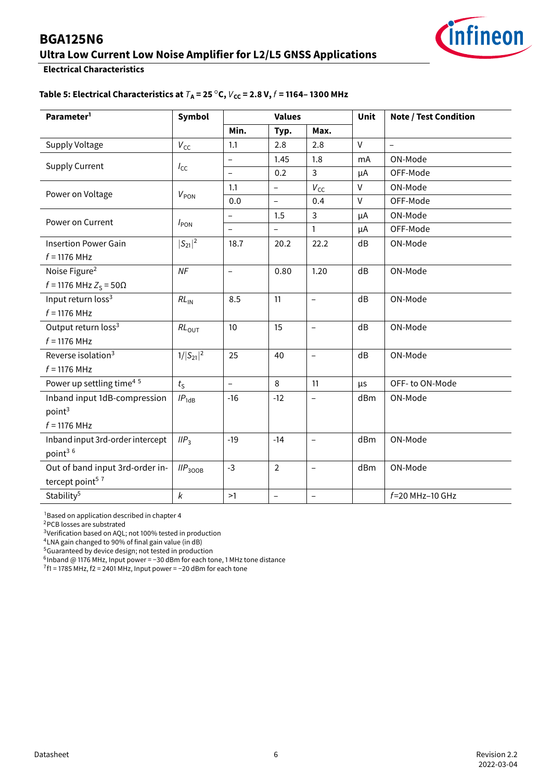## **Ultra Low Current Low Noise Amplifier for L2/L5 GNSS Applications**



#### **Electrical Characteristics**

#### **Table 5: Electrical Characteristics at**  $T_A$  = 25 °C,  $V_{cc}$  = 2.8 V,  $f$  = 1164– 1300 MHz

| Parameter <sup>1</sup>               | <b>Symbol</b>       |                          | <b>Values</b>            |                          | Unit         | <b>Note / Test Condition</b> |  |
|--------------------------------------|---------------------|--------------------------|--------------------------|--------------------------|--------------|------------------------------|--|
|                                      |                     | Min.                     | Typ.                     | Max.                     |              |                              |  |
| Supply Voltage                       | $V_{\text{CC}}$     | 1.1                      | 2.8                      | 2.8                      | $\mathsf{V}$ | $\overline{a}$               |  |
|                                      |                     | $\overline{\phantom{0}}$ | 1.45                     | 1.8                      | mA           | ON-Mode                      |  |
| <b>Supply Current</b>                | $I_{\text{CC}}$     | $\overline{\phantom{0}}$ | 0.2                      | $\mathsf{3}$             | μA           | OFF-Mode                     |  |
|                                      |                     | 1.1                      | $\overline{\phantom{0}}$ | $V_{\text{CC}}$          | $\vee$       | ON-Mode                      |  |
| Power on Voltage                     | $V_{PON}$           | 0.0                      | $\overline{\phantom{0}}$ | 0.4                      | $\vee$       | OFF-Mode                     |  |
|                                      |                     | $\qquad \qquad -$        | 1.5                      | $\mathsf{3}$             | μA           | ON-Mode                      |  |
| Power on Current                     | $I_{\text{PON}}$    |                          |                          | $\mathbf{1}$             | μA           | OFF-Mode                     |  |
| <b>Insertion Power Gain</b>          | $ S_{21} ^2$        | 18.7                     | 20.2                     | 22.2                     | dB           | ON-Mode                      |  |
| $f = 1176$ MHz                       |                     |                          |                          |                          |              |                              |  |
| Noise Figure <sup>2</sup>            | NF                  | $\qquad \qquad -$        | 0.80                     | 1.20                     | dB           | ON-Mode                      |  |
| $f = 1176$ MHz $Z_S = 50Ω$           |                     |                          |                          |                          |              |                              |  |
| Input return loss <sup>3</sup>       | $RL_{IN}$           | 8.5                      | 11                       | $\overline{a}$           | dB           | ON-Mode                      |  |
| $f = 1176$ MHz                       |                     |                          |                          |                          |              |                              |  |
| Output return loss <sup>3</sup>      | $RL_{OUT}$          | 10                       | 15                       | $\equiv$                 | dB           | ON-Mode                      |  |
| $f = 1176$ MHz                       |                     |                          |                          |                          |              |                              |  |
| Reverse isolation <sup>3</sup>       | $1/ S_{21} ^2$      | 25                       | 40                       | $\qquad \qquad -$        | dB           | ON-Mode                      |  |
| $f = 1176$ MHz                       |                     |                          |                          |                          |              |                              |  |
| Power up settling time <sup>45</sup> | $t_{\rm S}$         | $\overline{\phantom{0}}$ | 8                        | 11                       | μs           | OFF-to ON-Mode               |  |
| Inband input 1dB-compression         | $IP_{1dB}$          | $-16$                    | $-12$                    | $\qquad \qquad -$        | dBm          | ON-Mode                      |  |
| point <sup>3</sup>                   |                     |                          |                          |                          |              |                              |  |
| $f = 1176$ MHz                       |                     |                          |                          |                          |              |                              |  |
| Inband input 3rd-order intercept     | IIP <sub>3</sub>    | $-19$                    | $-14$                    | $\equiv$                 | dBm          | ON-Mode                      |  |
| point3 6                             |                     |                          |                          |                          |              |                              |  |
| Out of band input 3rd-order in-      | IIP <sub>300B</sub> | $-3$                     | $\overline{2}$           | $\overline{\phantom{0}}$ | dBm          | ON-Mode                      |  |
| tercept point <sup>57</sup>          |                     |                          |                          |                          |              |                              |  |
| Stability <sup>5</sup>               | k                   | >1                       | $\qquad \qquad -$        | $\overline{\phantom{0}}$ |              | $f = 20$ MHz-10 GHz          |  |

<span id="page-6-0"></span><sup>1</sup> Based on application described in chapter 4

<span id="page-6-1"></span><sup>2</sup>PCB losses are substrated

<span id="page-6-2"></span><sup>3</sup>Verification based on AQL; not 100% tested in production

<span id="page-6-3"></span><sup>4</sup>LNA gain changed to 90% of final gain value (in dB)

<span id="page-6-4"></span><sup>5</sup>Guaranteed by device design; not tested in production

<span id="page-6-5"></span>6 Inband @ 1176 MHz, Input power = −30 dBm for each tone, 1 MHz tone distance

<span id="page-6-6"></span> $7f1 = 1785$  MHz, f2 = 2401 MHz, Input power = -20 dBm for each tone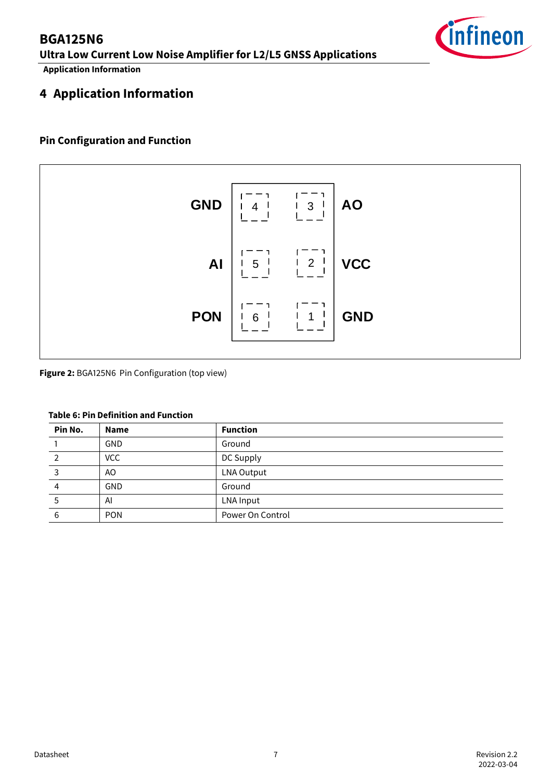## **BGA125N6 Ultra Low Current Low Noise Amplifier for L2/L5 GNSS Applications**

**Application Information**

## <span id="page-7-0"></span>**4 Application Information**

#### **Pin Configuration and Function**



**Figure 2:** BGA125N6 Pin Configuration (top view)

#### **Table 6: Pin Definition and Function**

| Pin No. | <b>Name</b> | <b>Function</b>   |
|---------|-------------|-------------------|
|         | <b>GND</b>  | Ground            |
| 2       | <b>VCC</b>  | DC Supply         |
|         | AO.         | <b>LNA Output</b> |
| 4       | <b>GND</b>  | Ground            |
| 5       | AI          | LNA Input         |
| 6       | <b>PON</b>  | Power On Control  |

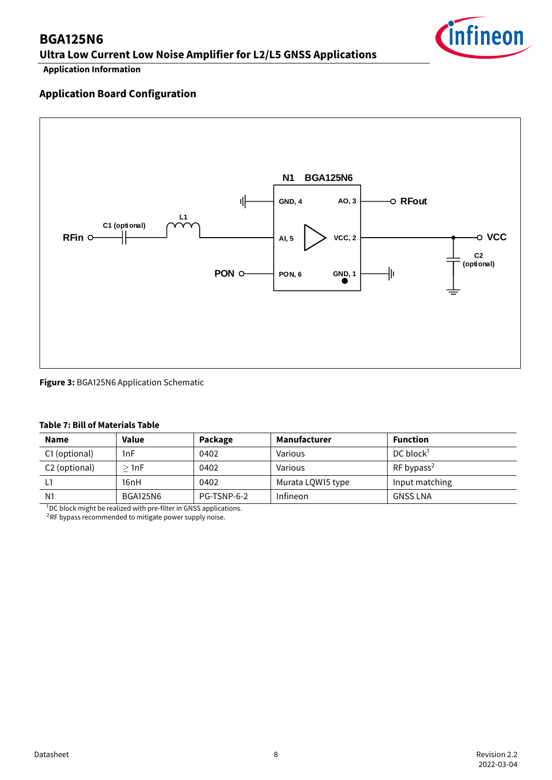**Ultra Low Current Low Noise Amplifier for L2/L5 GNSS Applications**



**Application Information**

#### **Application Board Configuration**



#### **Figure 3:** BGA125N6 Application Schematic

#### **Table 7: Bill of Materials Table**

| <b>Name</b>    | Value           | Package     | <b>Manufacturer</b> | <b>Function</b>          |
|----------------|-----------------|-------------|---------------------|--------------------------|
| C1 (optional)  | 1nF             | 0402        | Various             | DC block <sup>1</sup>    |
| C2 (optional)  | $>$ 1nF         | 0402        | Various             | $RF$ bypass <sup>2</sup> |
|                | 16nH            | 0402        | Murata LQW15 type   | Input matching           |
| N <sub>1</sub> | <b>BGA125N6</b> | PG-TSNP-6-2 | Infineon            | <b>GNSS LNA</b>          |

<sup>1</sup>DC block might be realized with pre-filter in GNSS applications.

<sup>2</sup>RF bypass recommended to mitigate power supply noise.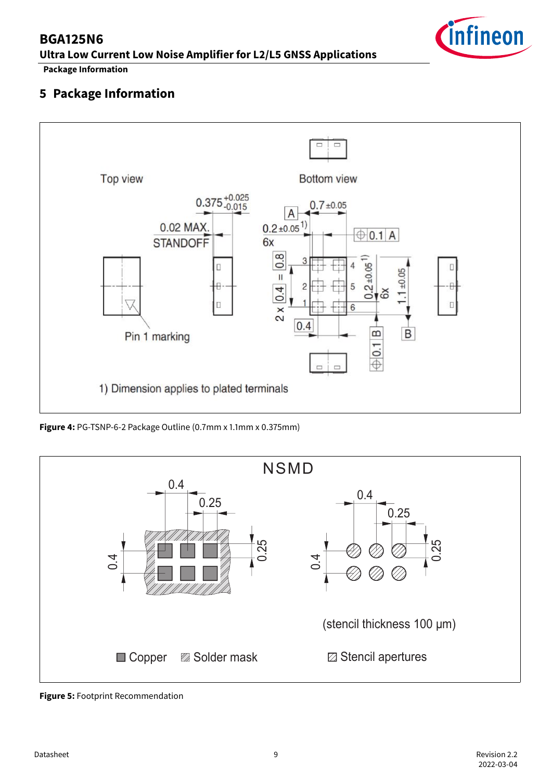**Ultra Low Current Low Noise Amplifier for L2/L5 GNSS Applications**



#### **Package Information**

## <span id="page-9-0"></span>**5 Package Information**



**Figure 4:** PG-TSNP-6-2 Package Outline (0.7mm x 1.1mm x 0.375mm)



**Figure 5:** Footprint Recommendation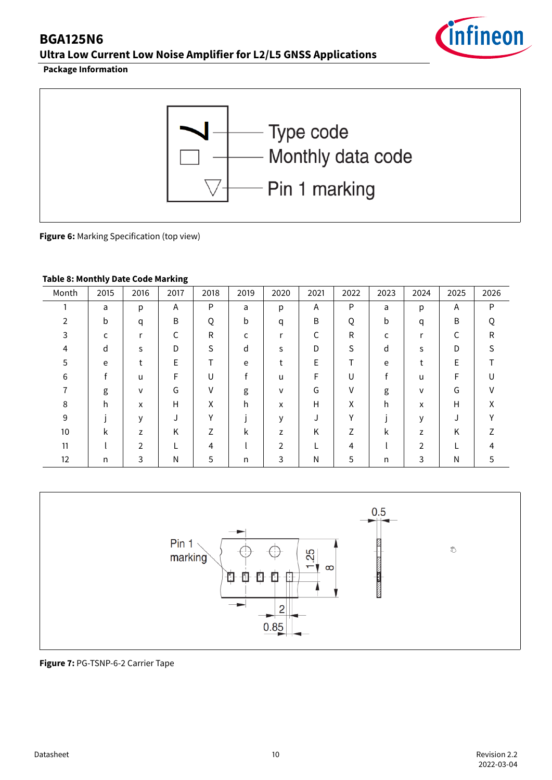**Ultra Low Current Low Noise Amplifier for L2/L5 GNSS Applications**



**Package Information**



**Figure 6:** Marking Specification (top view)

#### **Table 8: Monthly Date Code Marking**

| Month         | 2015 | 2016           | 2017 | 2018         | 2019 | 2020          | 2021 | 2022         | 2023 | 2024           | 2025 | 2026 |
|---------------|------|----------------|------|--------------|------|---------------|------|--------------|------|----------------|------|------|
|               | a    | р              | Α    | P            | a    | р             | Α    | P            | a    | p              | A    | P    |
| $\mathfrak z$ | b    | q              | B    | Q            | b    | q             | B    | Q            | b    | q              | B    |      |
| 3             |      | r              | r    | R            | c    |               |      | $\mathsf{R}$ | c    | r              | С    | R    |
| 4             | d    | S              | D    | S            | d    | S             | D    | S            | d    | S              | D    | S.   |
| 5             | e    |                | E    |              | e    |               | E    | Т            | e    |                | E    |      |
| 6             |      | u              | F    | U            |      | u             | F    | U            |      | u              | F    |      |
| 7             | g    | v              | G    | ν            | g    | v             | G    | v            | g    | $\mathsf{v}$   | G    |      |
| 8             | h.   | X              | Н    | X            | h    | x             | H    | X            | h    | X              | н    | v    |
| 9             |      | $\mathsf{V}$   |      | $\checkmark$ |      | $\mathsf{V}$  |      | $\vee$       |      | $\mathsf{V}$   |      | v    |
| 10            | k    | z              | Κ    | 7            | k    | z             | K    | 7            | k    | z              | Κ    |      |
| 11            |      | $\mathfrak{D}$ |      | 4            |      | $\mathcal{P}$ |      | 4            |      | $\overline{2}$ |      |      |
| 12            | n    | 3              | Ν    | 5            | n    | 3             | N    | 5            | n    | 3              | Ν    |      |



**Figure 7:** PG-TSNP-6-2 Carrier Tape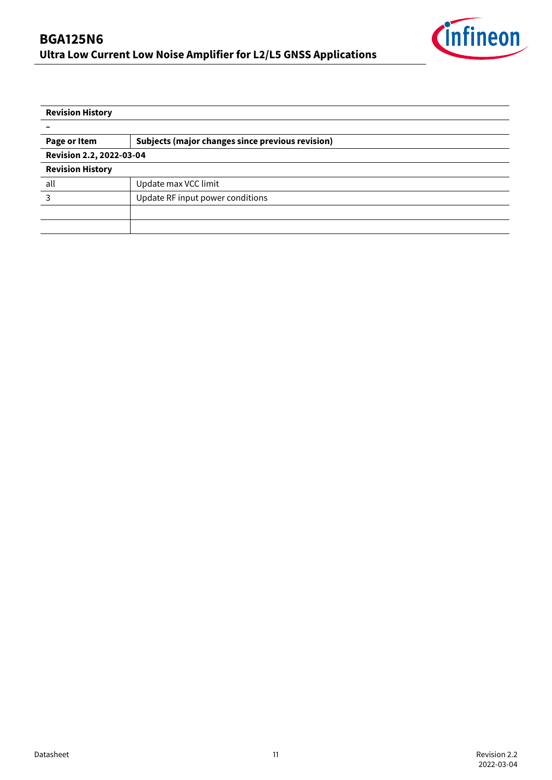

| <b>Revision History</b>  |                                                  |  |  |  |  |  |
|--------------------------|--------------------------------------------------|--|--|--|--|--|
|                          |                                                  |  |  |  |  |  |
| Page or Item             | Subjects (major changes since previous revision) |  |  |  |  |  |
| Revision 2.2, 2022-03-04 |                                                  |  |  |  |  |  |
| <b>Revision History</b>  |                                                  |  |  |  |  |  |
| all                      | Update max VCC limit                             |  |  |  |  |  |
| 3                        | Update RF input power conditions                 |  |  |  |  |  |
|                          |                                                  |  |  |  |  |  |
|                          |                                                  |  |  |  |  |  |
|                          |                                                  |  |  |  |  |  |